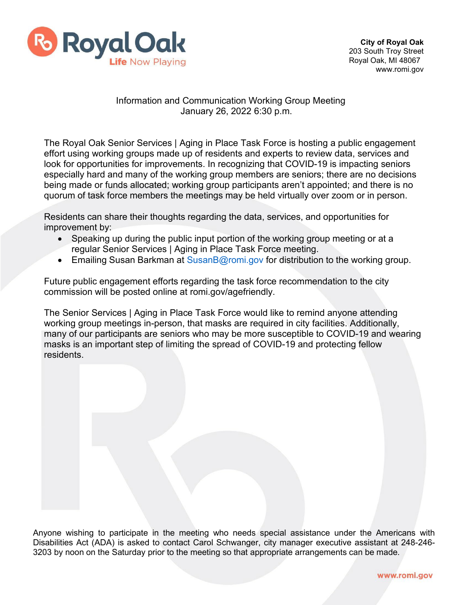

## Information and Communication Working Group Meeting January 26, 2022 6:30 p.m.

The Royal Oak Senior Services | Aging in Place Task Force is hosting a public engagement effort using working groups made up of residents and experts to review data, services and look for opportunities for improvements. In recognizing that COVID-19 is impacting seniors especially hard and many of the working group members are seniors; there are no decisions being made or funds allocated; working group participants aren't appointed; and there is no quorum of task force members the meetings may be held virtually over zoom or in person.

Residents can share their thoughts regarding the data, services, and opportunities for improvement by:

- Speaking up during the public input portion of the working group meeting or at a regular Senior Services | Aging in Place Task Force meeting.
- Emailing Susan Barkman at [SusanB@romi.gov f](mailto:SusanB@romi.gov)or distribution to the working group.

Future public engagement efforts regarding the task force recommendation to the city commission will be posted online at romi.gov/agefriendly.

The Senior Services | Aging in Place Task Force would like to remind anyone attending working group meetings in-person, that masks are required in city facilities. Additionally, many of our participants are seniors who may be more susceptible to COVID-19 and wearing masks is an important step of limiting the spread of COVID-19 and protecting fellow residents.

Anyone wishing to participate in the meeting who needs special assistance under the Americans with Disabilities Act (ADA) is asked to contact Carol Schwanger, city manager executive assistant at 248-246- 3203 by noon on the Saturday prior to the meeting so that appropriate arrangements can be made.